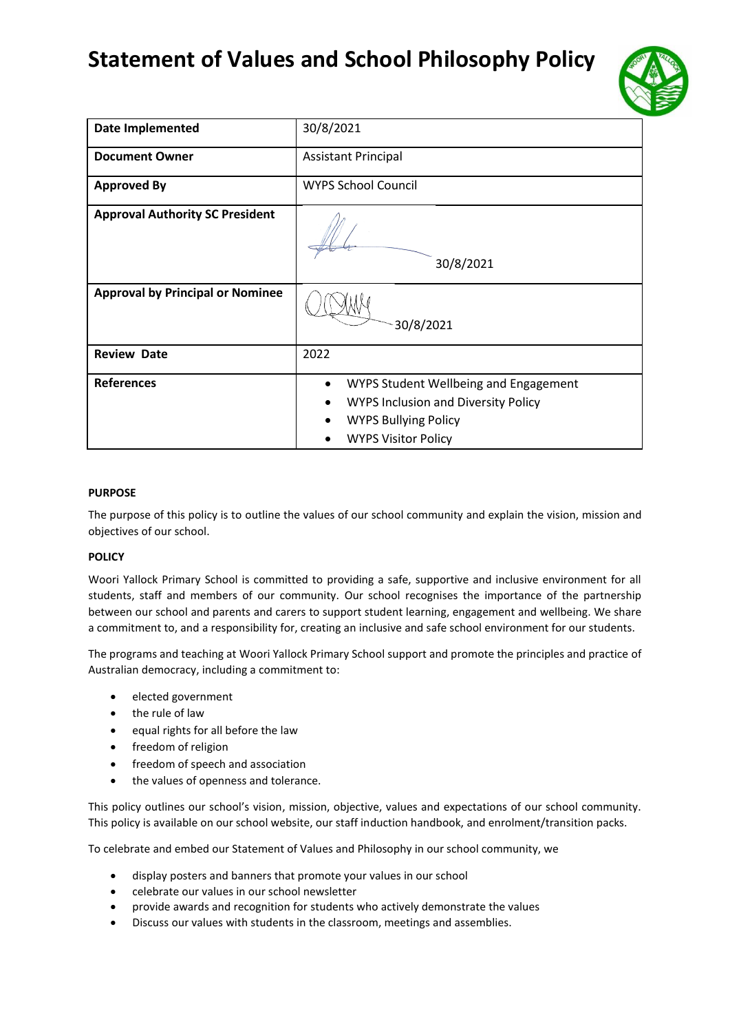# **Statement of Values and School Philosophy Policy**



| <b>Date Implemented</b>                 | 30/8/2021                                                                                                                                                     |
|-----------------------------------------|---------------------------------------------------------------------------------------------------------------------------------------------------------------|
| <b>Document Owner</b>                   | <b>Assistant Principal</b>                                                                                                                                    |
| <b>Approved By</b>                      | <b>WYPS School Council</b>                                                                                                                                    |
| <b>Approval Authority SC President</b>  | 30/8/2021                                                                                                                                                     |
| <b>Approval by Principal or Nominee</b> | 30/8/2021                                                                                                                                                     |
| <b>Review Date</b>                      | 2022                                                                                                                                                          |
| <b>References</b>                       | WYPS Student Wellbeing and Engagement<br>$\bullet$<br><b>WYPS Inclusion and Diversity Policy</b><br><b>WYPS Bullying Policy</b><br><b>WYPS Visitor Policy</b> |

# **PURPOSE**

The purpose of this policy is to outline the values of our school community and explain the vision, mission and objectives of our school.

# **POLICY**

Woori Yallock Primary School is committed to providing a safe, supportive and inclusive environment for all students, staff and members of our community. Our school recognises the importance of the partnership between our school and parents and carers to support student learning, engagement and wellbeing. We share a commitment to, and a responsibility for, creating an inclusive and safe school environment for our students.

The programs and teaching at Woori Yallock Primary School support and promote the principles and practice of Australian democracy, including a commitment to:

- elected government
- the rule of law
- equal rights for all before the law
- freedom of religion
- freedom of speech and association
- the values of openness and tolerance.

This policy outlines our school's vision, mission, objective, values and expectations of our school community. This policy is available on our school website, our staff induction handbook, and enrolment/transition packs.

To celebrate and embed our Statement of Values and Philosophy in our school community, we

- display posters and banners that promote your values in our school
- celebrate our values in our school newsletter
- provide awards and recognition for students who actively demonstrate the values
- Discuss our values with students in the classroom, meetings and assemblies.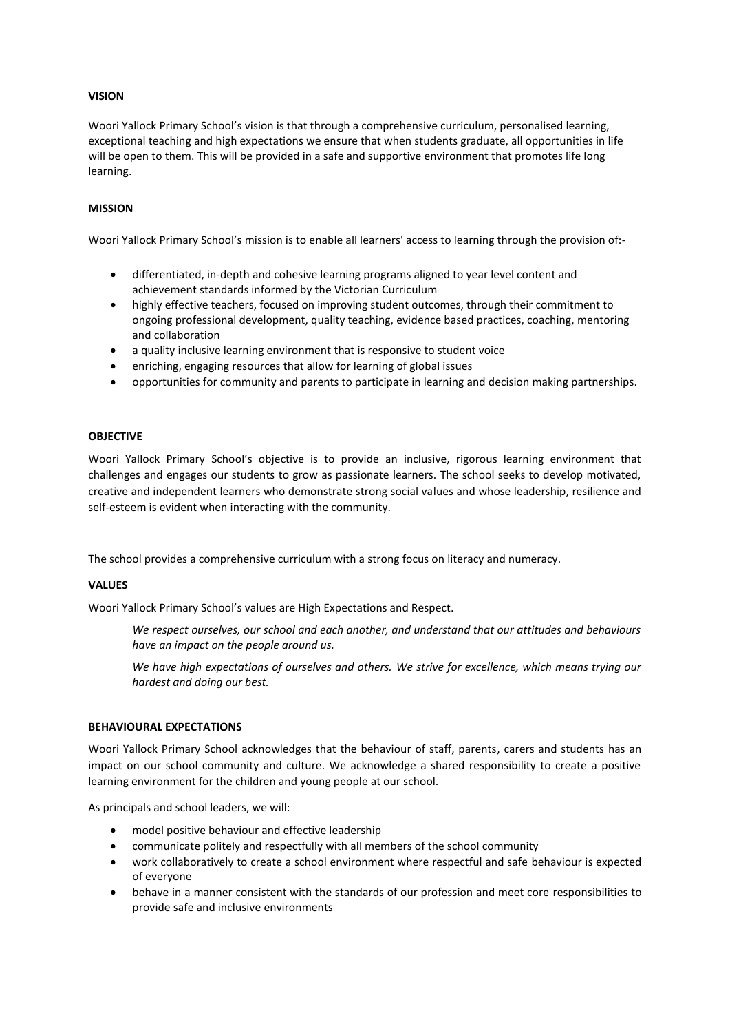# **VISION**

Woori Yallock Primary School's vision is that through a comprehensive curriculum, personalised learning, exceptional teaching and high expectations we ensure that when students graduate, all opportunities in life will be open to them. This will be provided in a safe and supportive environment that promotes life long learning.

#### **MISSION**

Woori Yallock Primary School's mission is to enable all learners' access to learning through the provision of:-

- differentiated, in-depth and cohesive learning programs aligned to year level content and achievement standards informed by the Victorian Curriculum
- highly effective teachers, focused on improving student outcomes, through their commitment to ongoing professional development, quality teaching, evidence based practices, coaching, mentoring and collaboration
- a quality inclusive learning environment that is responsive to student voice
- enriching, engaging resources that allow for learning of global issues
- opportunities for community and parents to participate in learning and decision making partnerships.

#### **OBJECTIVE**

Woori Yallock Primary School's objective is to provide an inclusive, rigorous learning environment that challenges and engages our students to grow as passionate learners. The school seeks to develop motivated, creative and independent learners who demonstrate strong social values and whose leadership, resilience and self-esteem is evident when interacting with the community.

The school provides a comprehensive curriculum with a strong focus on literacy and numeracy.

# **VALUES**

Woori Yallock Primary School's values are High Expectations and Respect.

*We respect ourselves, our school and each another, and understand that our attitudes and behaviours have an impact on the people around us.* 

*We have high expectations of ourselves and others. We strive for excellence, which means trying our hardest and doing our best.*

#### **BEHAVIOURAL EXPECTATIONS**

Woori Yallock Primary School acknowledges that the behaviour of staff, parents, carers and students has an impact on our school community and culture. We acknowledge a shared responsibility to create a positive learning environment for the children and young people at our school.

As principals and school leaders, we will:

- model positive behaviour and effective leadership
- communicate politely and respectfully with all members of the school community
- work collaboratively to create a school environment where respectful and safe behaviour is expected of everyone
- behave in a manner consistent with the standards of our profession and meet core responsibilities to provide safe and inclusive environments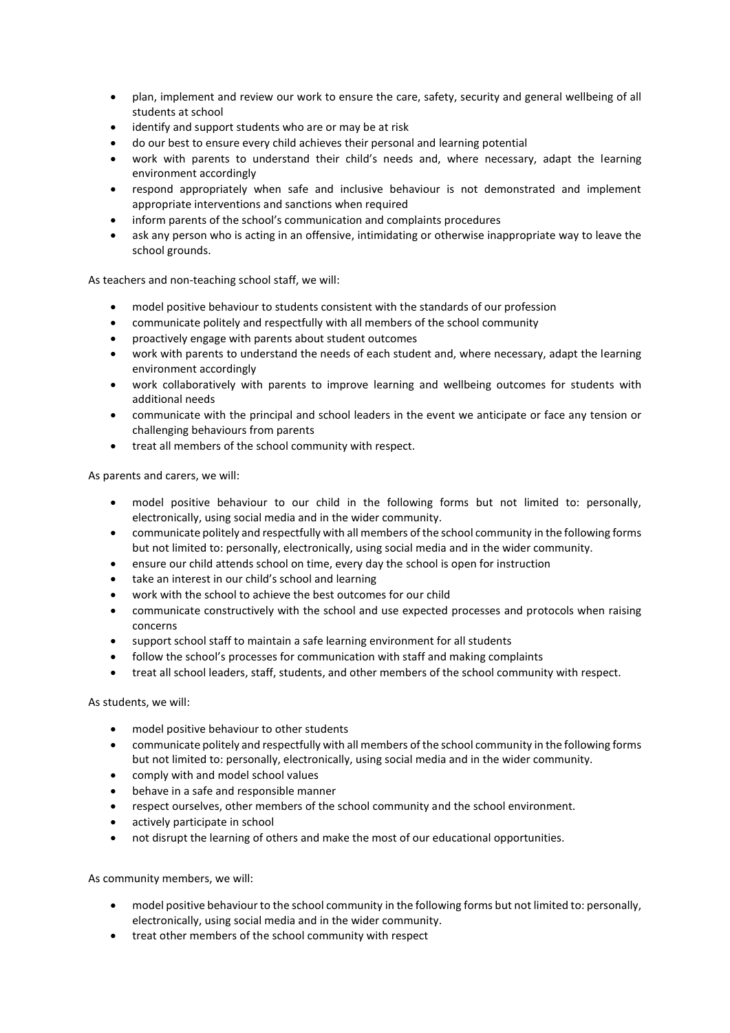- plan, implement and review our work to ensure the care, safety, security and general wellbeing of all students at school
- identify and support students who are or may be at risk
- do our best to ensure every child achieves their personal and learning potential
- work with parents to understand their child's needs and, where necessary, adapt the learning environment accordingly
- respond appropriately when safe and inclusive behaviour is not demonstrated and implement appropriate interventions and sanctions when required
- inform parents of the school's communication and complaints procedures
- ask any person who is acting in an offensive, intimidating or otherwise inappropriate way to leave the school grounds.

As teachers and non-teaching school staff, we will:

- model positive behaviour to students consistent with the standards of our profession
- communicate politely and respectfully with all members of the school community
- proactively engage with parents about student outcomes
- work with parents to understand the needs of each student and, where necessary, adapt the learning environment accordingly
- work collaboratively with parents to improve learning and wellbeing outcomes for students with additional needs
- communicate with the principal and school leaders in the event we anticipate or face any tension or challenging behaviours from parents
- treat all members of the school community with respect.

As parents and carers, we will:

- model positive behaviour to our child in the following forms but not limited to: personally, electronically, using social media and in the wider community.
- communicate politely and respectfully with all members of the school community in the following forms but not limited to: personally, electronically, using social media and in the wider community.
- ensure our child attends school on time, every day the school is open for instruction
- take an interest in our child's school and learning
- work with the school to achieve the best outcomes for our child
- communicate constructively with the school and use expected processes and protocols when raising concerns
- support school staff to maintain a safe learning environment for all students
- follow the school's processes for communication with staff and making complaints
- treat all school leaders, staff, students, and other members of the school community with respect.

As students, we will:

- model positive behaviour to other students
- communicate politely and respectfully with all members of the school community in the following forms but not limited to: personally, electronically, using social media and in the wider community.
- comply with and model school values
- behave in a safe and responsible manner
- respect ourselves, other members of the school community and the school environment.
- actively participate in school
- not disrupt the learning of others and make the most of our educational opportunities.

As community members, we will:

- model positive behaviour to the school community in the following forms but not limited to: personally, electronically, using social media and in the wider community.
- treat other members of the school community with respect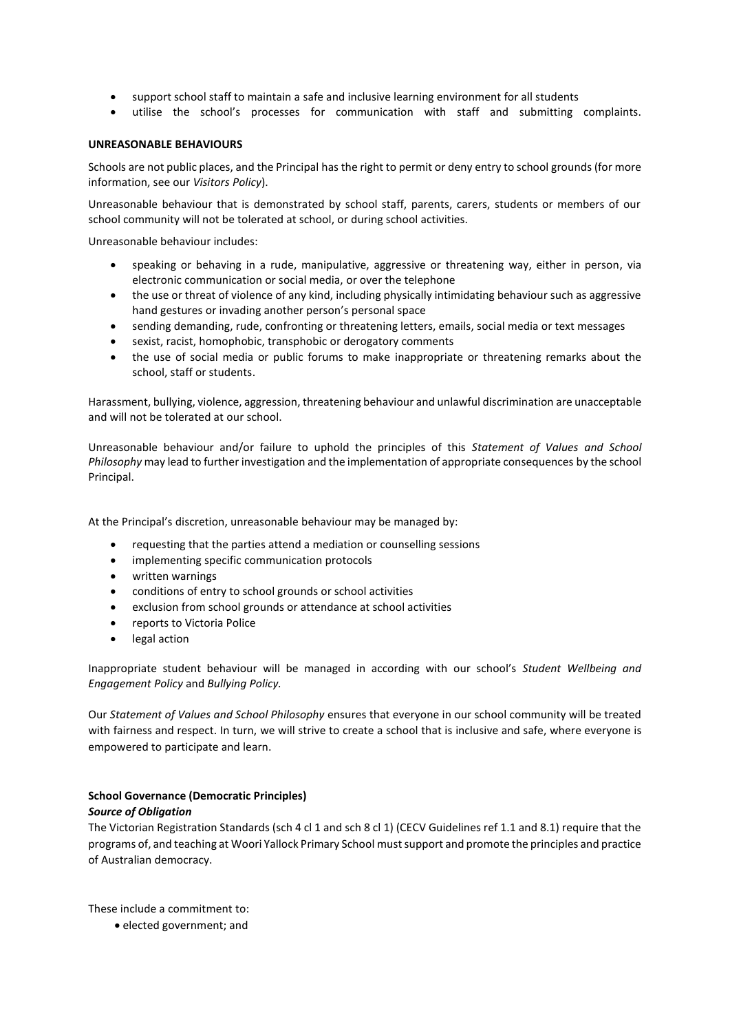- support school staff to maintain a safe and inclusive learning environment for all students
- utilise the school's processes for communication with staff and submitting complaints.

#### **UNREASONABLE BEHAVIOURS**

Schools are not public places, and the Principal has the right to permit or deny entry to school grounds (for more information, see our *Visitors Policy*).

Unreasonable behaviour that is demonstrated by school staff, parents, carers, students or members of our school community will not be tolerated at school, or during school activities.

Unreasonable behaviour includes:

- speaking or behaving in a rude, manipulative, aggressive or threatening way, either in person, via electronic communication or social media, or over the telephone
- the use or threat of violence of any kind, including physically intimidating behaviour such as aggressive hand gestures or invading another person's personal space
- sending demanding, rude, confronting or threatening letters, emails, social media or text messages
- sexist, racist, homophobic, transphobic or derogatory comments
- the use of social media or public forums to make inappropriate or threatening remarks about the school, staff or students.

Harassment, bullying, violence, aggression, threatening behaviour and unlawful discrimination are unacceptable and will not be tolerated at our school.

Unreasonable behaviour and/or failure to uphold the principles of this *Statement of Values and School Philosophy* may lead to further investigation and the implementation of appropriate consequences by the school Principal.

At the Principal's discretion, unreasonable behaviour may be managed by:

- requesting that the parties attend a mediation or counselling sessions
- implementing specific communication protocols
- written warnings
- conditions of entry to school grounds or school activities
- exclusion from school grounds or attendance at school activities
- reports to Victoria Police
- legal action

Inappropriate student behaviour will be managed in according with our school's *Student Wellbeing and Engagement Policy* and *Bullying Policy.*

Our *Statement of Values and School Philosophy* ensures that everyone in our school community will be treated with fairness and respect. In turn, we will strive to create a school that is inclusive and safe, where everyone is empowered to participate and learn.

# **School Governance (Democratic Principles)**

# *Source of Obligation*

The Victorian Registration Standards (sch 4 cl 1 and sch 8 cl 1) (CECV Guidelines ref 1.1 and 8.1) require that the programs of, and teaching at Woori Yallock Primary School must support and promote the principles and practice of Australian democracy.

These include a commitment to:

• elected government; and